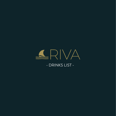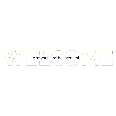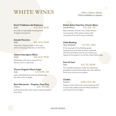### **WHITE WINES**

#### *175ml / 250ml / Bottle 125ml available on request*

#### **Parini Trebbiano del Rubicone**

*Italy* **4.5 / 5.8 / 16.95**

Dry with a crisp palate showing hints of apple and almond.

#### **Amodo Pecorino**

*Italy* **5.0 / 6.5 / 19.25**

Fresh and tropical notes on the nose, with an enticing minerality on the finish.

*Chile* **5.0 / 6.5 / 19.25**

Refreshing, with citrus, tropical fruit flavours and a crisp finish. **Gavi di Gavi**

#### **Vinuva Organic Pinot Grigio** *Italy* **5.5 / 6.95 / 20**

Light, delicately flavoured, yet refreshingly dry with a hint of apple.

### **Rare Marsanne - Viognier, Pays D'oc**

*France* **6.0 / 7.5 / 22**

Soft and aromatic with notes of peach blossom and citrus.

### **Kleine Zalze Selection Chenin Blanc** *South Africa* **6.5 / 8.5 / 25**

Ripe and silky-smooth, from South Africa's most popular white grape variety with rich guava fruit and a honey character.

### **Vidal Riesling**

*New Zealand* **7.5 / 9.5 / 28.5**

A fine example of the Riesling grape, showing lime and floral aromas combined with the minerality and citrus fruit flavours **Tekena Sauvignon Blanc**<br> **Tekena Sauvignon Blanc**<br> **Tekena Sauvignon Blanc**<br> **S.O.** / 6.5. / 19.25

### *Italy* **8.5 / 12 / 33.95**

This excellent producer crafts this refreshing gooseberry and mineral style wine with delicate floral hints, dry but not austere.

### **Chablis**

*France* **8.95 / 12.5 / 36**

Flowery, lively, fresh and mouth watering with a crisp fruity palate and that flinty backbone only found in true Chablis.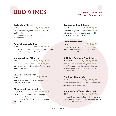



#### **Corte Vigna Merlot**

*Italy* **4.5 / 5.8 / 16.95**

Carefully selected grapes from Friuli, Veneto and Trentino. Upfront briary fruit flavours and soft vanilla tones.

#### **Amodo Salice Salentino**

*Italy* **5.0 / 6.5 / 18.25**

Deep red colour. A juicy, red and dark fruit-packed wine with a smooth, slightly smoky finish.

#### **Montepulciano d'Abruzzo**

*Italy* **5.0 / 6.5 / 19.25**

Plum and cherry with notes of violet: dry, soft but well structured with a finish of dried fruits and toasted hazelnut.

#### **Passo Sardo Cannonau**

*Italy* **5.5 / 7.5 / 22**

Soft, ripe blackberry and raspberry flavours with a pinch of spice.

#### **Alma Mora Reserve Malbec** *Argentina* **5.95 / 7.95 / 23.5**

This is a full-bodied wine, displaying ripe red berry and fleshy plum flavours, with an elegant touch of vanilla from the new American oak barrels.

#### **Don Jacobo Rioja Crianza** *Spain* **6.5 / 8.95 / 26**

Abundant bright raspberry aromas mingle with sumptuous cherries and layered with a creamy barrique character.

#### **Les Hipsters Barbe** *France* **7 / 9.5 / 28**

Ripe dark fruit with notes of broom flowers, coconut and brioche, the palate develops delicious savoury blackcurrant flavours.

#### **St Hallett Butcher's Cart Shiraz** *Australia* **9.2 / 12.65 / 36.95**

Displays aromas of dark berry fruit with a hint of nutmeg spice: the palate is rich, with lingering notes of black cherry, dark plum and chocolate.

#### **Primitivo di Manduria**

*Italy* **9.5 / 12.95 / 38**

Wild berries and a hint of caramel, smooth with some spicy, aromatic notes.

### **Amarone della Valpolicella Classico**

*Italy* **12.5 / 17 / 49.95**

The traditional method of semi-drying the grapes first ensures an enveloping, velvet richness with marzipan, raisin and date flavours.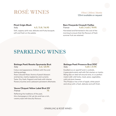## **ROSÉ WINES**

*175ml / 250ml / Bottle 125ml available on request*

*Italy* **4.5 / 5.8 / 16.95**

Soft, coppery-pink rose; delicate and fruity bouquet; soft and fresh on the palate.

#### **Pinot Grigio Blush Rare Vineyards Cinsault Vieilles** *France* **4.65 / 6.65 / 19.95**

Harvested and fermented in the cool of the morning to ensure that the flavours of fresh summer fruit are retained.

### **SPARKLING WINES**

#### **Bottega Poeti Rosato Spumante Brut**

*Italy* **5.6 / 23.95**

Colour and appearance: Brilliant with fine and lasting perlage.

Rose-coloured Nose: Aroma of peach blossom and berries, mainly raspberries and currants Taste: Dry, fresh, fragrant and lively with intense flowery touches and a pleasant persistent aftertaste.

#### **Veuve Clicquot Yellow Label Brut NV** *France* **75**

Reflecting the traditions of the past, this champagne is full, yet dry and has a rich, creamy style with biscuity flavours.

#### **Bottega Poeti Prosecco Brut DOC** *Italy* **4.65 / 21.95**

Excellent as an aperitif and in cocktails, it goes particularly well with fish starters or risotto. Being also an ideal all-around wine, it is a perfect match with wild herbs, meat, pizza, vegetables, cold cuts and cheeses.

This Prosecco has a hint of apple, white peach and citrus with a fresh, delicate and soft finish.

- SPARKLING & ROSÉ WINES -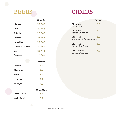

### **CIDERS**

|                        | <b>Draught</b> |                                             | <b>Bottled</b> |
|------------------------|----------------|---------------------------------------------|----------------|
| Moretti                | 2.5/4.5        | <b>Old Mout</b><br>Kiwi & Lime              | 5.0            |
| Riva                   | 2.2/4.5        | <b>Old Mout</b>                             | 5.0            |
| <b>Estrella</b>        | 2.5/4.5        | <b>Berries &amp; Cherries</b>               |                |
| Amstel                 | 2.5/4.5        | <b>Old Mout</b><br>Strawberry & Pomegranate | 5.0            |
| <b>Punk IPA</b>        | 2.2/4.5        | <b>Old Mout</b>                             | 5.0            |
| <b>Orchard Thieves</b> | 2.2 / 4.0      | Pineapple & Raspberry                       |                |
| <b>Best</b>            | 2.2 / 4.0      | Old Mout 0%<br>Berries & Cherries           | 4.0            |
| <b>Guiness</b>         | 2.2 / 4.0      |                                             |                |
|                        | <b>Bottled</b> |                                             |                |
| Corona                 | 3.0            |                                             |                |
| <b>Blue Moon</b>       | 3.5            |                                             |                |
| Peroni                 | 3.0            |                                             |                |

|                    | <b>Alcohol Free</b> |
|--------------------|---------------------|
| Peroni Libra       | 3.5                 |
| <b>Lucky Saint</b> | 3.5                 |

**Erdinger 4.0**

**Heineken 3.0**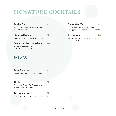## **SIGNATURE COCKTAILS**

| Ramble On<br>Rhubarb & Ginger Gin, Rhubarb Syrup<br>& Cranberry Juice                                      | 7.5 |
|------------------------------------------------------------------------------------------------------------|-----|
| Midnight Negroni<br>Sloe Gin, Sweet Vermouth & Campari                                                     | 7.5 |
| <b>Boozy Strawberry Milkshake</b><br>Mozart Strawberry, Absolut Raspberry,<br>50/50 Cream & Strawberry Jam | 8.0 |

### **Flaming Mai Tai 8.0** Bumbu Rum, Bacardi Carta Blanca,

Pineapple Juice, Orgeat Syrup & Fresh Lime

#### **The Faslane 8.0**

Askival Rum, Brown Sugar, Angostura & Orange Bitters

### **FIZZ**

#### **Royal Treatment 7.5**

Whitley Neil Parma Violet Gin, Blackcurrant, Fresh Lemon, Sugar Syrup , Prosecco & Lemonade

#### **The Fool 7.5**

Rhubarb & Ginger Gin, Rhubarb Syrup, Prosecco & Fresh Lime & Lemonade

#### **Jammy Gin Fizz 7.0**

Eden Mill Love Gin, Strawberry Jam & Prosecco

- COCKTAILS -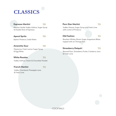# **CLASSICS**

| <b>Espresso Martini</b>                                                 | 7.0 | Porn Star Martini<br>7.5                                                                            |
|-------------------------------------------------------------------------|-----|-----------------------------------------------------------------------------------------------------|
| Absolut Vanilla Vodka, Kahlua, Sugar Syrup<br>& Double Shot of Espresso |     | Vodka, Passoa, Sugar Syrup and Fresh Lime<br>with a shot of Prosecco                                |
| <b>Aperol Spritz</b>                                                    | 7.0 | <b>Old Fashion</b><br>7.5                                                                           |
| Aperol, Prosecco, Soda Water                                            |     | Bourbon Whisky, Brown Sugar, Angostura Bitter,<br>topped with an Orange Peel                        |
| <b>Amaretto Sour</b>                                                    | 7.0 |                                                                                                     |
| Disaronno, Fresh Lemon Sugar Syrup<br>& Egg White                       |     | <b>Strawberry Daiquiri</b><br>7.5<br>Bacardi Rum, Strawberry Purée, Cranberry Juice<br>& Fresh Lime |
| <b>White Russian</b>                                                    | 7.5 |                                                                                                     |
| Vodka, Kahlua, Cream & Chocolate Powder                                 |     |                                                                                                     |
| <b>French Martini</b>                                                   | 7.5 |                                                                                                     |
| Vodka, Chambord, Pineapple Juice<br>& Fresh Lime                        |     |                                                                                                     |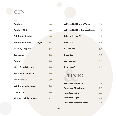## **GIN**

| <b>Gordons</b>                        | 2.6 | <b>Whitley Neill Parma Violet</b>         | 3.5 |
|---------------------------------------|-----|-------------------------------------------|-----|
| <b>Gordon's Pink</b>                  | 2.6 | <b>Whitley Neill Rhubarb &amp; Ginger</b> | 3.5 |
| <b>Edinburgh Raspberry</b>            | 2.6 | <b>Eden Mill Love Gin</b>                 | 3.5 |
| <b>Edinburgh Rhubarb &amp; Ginger</b> | 2.6 | <b>Eden Mill</b>                          | 3.5 |
| <b>Bombay Sapphire</b>                | 2.8 | <b>Brockmans</b>                          | 3.7 |
| <b>Tanqueray</b>                      | 3.0 | <b>Botanist</b>                           | 3.8 |
| Caorunn                               | 3.0 | Glasweegin                                | 3.8 |
| <b>Malfy Blood Orange</b>             | 3.0 | Monkey 47                                 | 4.0 |
| <b>Malfy Pink Grapefruit</b>          | 3.0 | <b>TONIC</b>                              |     |
| <b>Malfy Lemon</b>                    | 3.0 |                                           |     |
| <b>Edinburgh Elderflower</b>          | 3.0 | <b>Fevertree Aromatic</b>                 | 2.5 |
|                                       |     | <b>Fevertree Elderflower</b>              | 2.5 |
| Hendrick's                            | 3.0 | <b>Fevertree Indian</b>                   | 2.5 |
| <b>Whitley Neill Raspberry</b>        | 3.5 | <b>Fevertree Light</b>                    | 2.5 |
|                                       |     | Egyartrag Maditerrangan                   | 25  |

| <b>Whitley Neill Parma Violet</b>         | 3.5 |
|-------------------------------------------|-----|
| <b>Whitley Neill Rhubarb &amp; Ginger</b> | 3.5 |
| <b>Eden Mill Love Gin</b>                 | 3.5 |
| <b>Eden Mill</b>                          | 3.5 |
| <b>Brockmans</b>                          | 3.7 |
| <b>Botanist</b>                           | 3.8 |
| Glasweegin                                | 3.8 |
| Monkey 47                                 | 4.0 |
| TONIC                                     |     |
| <b>Fevertree Aromatic</b>                 | 2.5 |
| <b>Fevertree Elderflower</b>              | 2.5 |
| <b>Fevertree Indian</b>                   | 2.5 |
| <b>Fevertree Light</b>                    | 2.5 |
| <b>Fevertree Mediterranean</b>            | 2.5 |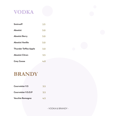

| Smirnoff                    | 2.5              |
|-----------------------------|------------------|
| <b>Absolut</b>              | 3.0              |
| <b>Absolut Berry</b>        | 3.0              |
| Absolut Vanilla             | 3.0              |
| <b>Thunder Toffee Apple</b> | 3.0              |
| <b>Absolut Citron</b>       | $\overline{3.5}$ |
| <b>Grey Goose</b>           | 4.0              |

### **BRANDY**

| <b>Courvoisier V.S</b>     | 3.5 |
|----------------------------|-----|
| <b>Courvoisier V.S.O.P</b> | 3.5 |
| Vecchia Romagna            | 4.5 |

- VODKA & BRANDY -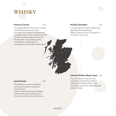## **WHISKY**

#### **Famous Grouse 3.5**

The original blend of The Famous Grouse is perfectly balanced with notes of orange, citrus, sherry and oaky tones. Containing some of the worlds finest malt whiskies including Highland Park and The Macallan. Unsurpassed quality and distilling methods go into creating this well rounded smooth blend.

#### **Monkey Shoulder 3.5**

A unique blend of 3 malt whiskies from Speyside's finest distilleries. Made in batches of just 27 casks for a smoother, richer taste.

#### **Johnnie Walker Black Label 4.5**

The iconic blend of over 30 malt and grain whiskies from Scotland makes Johnnie Walker Black Label one of the world's best-selling blended Scotch whiskies.

This Whiskey is charcoal mellowed, a process that gives it its distinct

smooth flavour. A well rounded and balanced medium amber whiskey with a pleasant mix of caramel, vanilla and wood flavours.

**Jack Daniels 3.5**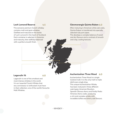#### **Loch Lomond Reserve 4.5**

This exclusive premium Scotch whiskey contains malt and grain whiskies. Distilled and matured on the banks of Loch Lomond in the heart of Scotland. Each container is selected in character and maturity, then skillfully balanced with a perfect smooth finish.

#### **Glenmorangie Quinta Ruban 6.0**

After maturing in American white oak casks, Quinta Ruban is transferred into specially selected ruby port pipes.

This develops a complex balance of sweet and dry flavours and a contrast of smooth and crisp, cooling textures.

#### **Lagavulin 16 6.0**

Lagavulin is one of the smokiest and most intense whiskies in the world. It is an 'essential' Scotch Whisky that any connoisseur or enthusiast must have in their collection; one of the world's favourite Malt Whiskies.

#### **Auchentoshan Three Wood 6.0**

Auchentoshan Three Wood is a single lowland malt. It is the only malt to triple distil every single drop. This unique Auchentoshan Whisky has been matured in three different cask types; American Bourbon, Spanish Oloroso sherry and finally Pedro Ximenez sherry casks, producing a rich and complex whisky with incredible toffee and sherry oak flavours.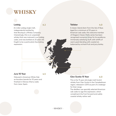### **WHISKY**

#### **Ledaig 6.2**

An indie Ledaig single malt, independently bottled by that Boutique-y Whisky Company. Interestingly, this is an unpeated whisky that was matured in ex-Ledaig casks, and was bottled at 23 years old. Ought to be a particularly fascinating expression.

#### **Talisker 4.0**

A classic Island dram from the Isle of Skye. Aged for a minimum of 10 years in American oak casks, this welcome member of Diageo's Classic Malts series has been recognised numerous times for its excellence. Immensely satisfying stuff, with whiffs of warm peat blending with coastal air, balanced by orchard fruit and juicy barley.

#### **Jura 10 Year 4.5**

Matured in American White Oak ex-bourbon barrels for 10 years and finished in Oloroso Sherry casks from Jerez, Spain.

#### **Glen Scotia 15 Year 6.0**

This is the 15 year old single malt Scotch whisky from Glen Scotia in the Campbeltown region, released in 2015 as part of a redesign for their range.

The distillers use specially selected American oak casks to age this expression, which compliment the fruit-forward and subtly coastal whisky rather well.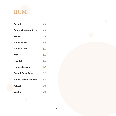

| <b>Bacardi</b>                | 2.5 |
|-------------------------------|-----|
| Captain Morgans Spiced        | 2.5 |
| <b>Malibu</b>                 | 2.8 |
| Havana 3 YO                   | 3.2 |
| Havana 7 YO                   | 3.5 |
| <b>Kraken</b>                 | 3.5 |
| <b>Island slice</b>           | 3.5 |
| <b>Havana Especial</b>        | 3.7 |
| <b>Bacardi Carta Fuego</b>    | 3.7 |
| <b>Mount Gay Black Barrel</b> | 3.8 |
| <b>Askival</b>                | 4.0 |
| <b>Bumbu</b>                  | 4.0 |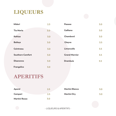## **LIQUEURS**

| Midori                  | 2.3 | <b>Passoa</b>        | 3.0 |
|-------------------------|-----|----------------------|-----|
| <b>Tia Maria</b>        | 3.0 | Galliano             | 3.0 |
| Kahlua                  | 3.0 | Chambord             | 3.0 |
| <b>Baileys</b>          | 3.0 | Glayva               | 3.5 |
| Cointreau               | 3.0 | Limoncello           | 3.5 |
| <b>Southern Comfort</b> | 3.0 | <b>Grand Marnier</b> | 3.5 |
| <b>Disaronno</b>        | 3.0 | <b>Drambuie</b>      | 3.5 |
| Frangelico              | 3.0 |                      |     |

### **APERITIFS**

| <b>Aperol</b> | 2.5 | <b>Martini Bianco</b> | 3.0 |
|---------------|-----|-----------------------|-----|
| Campari       | 2.5 | Martini Dry           | 3.0 |
| Martini Rosso | 3.O |                       |     |

- LIQUEURS & APERITIFS -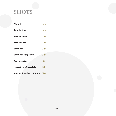## **SHOTS**

| Fireball                       | 2.5 |
|--------------------------------|-----|
| <b>Tequila Rose</b>            | 2.5 |
| <b>Tequila Silver</b>          | 3.0 |
| <b>Tequila Gold</b>            | 3.0 |
| Sambuca                        | 3.0 |
| <b>Sambuca Raspberry</b>       | 3.0 |
| Jagermeister                   | 3.5 |
| <b>Mozart Milk Chocolate</b>   | 3.0 |
| <b>Mozart Strawberry Cream</b> | 3.0 |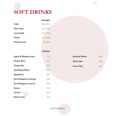

|                  | <b>Draught</b> |
|------------------|----------------|
| Coke             | 2.4 / 3.2      |
| <b>Diet Coke</b> | 2.2 / 3.0      |
| Lemonade         | 2.2 / 3.0      |
| Fanta            | 2.2 / 3.0      |
| Soda & Lime      | 1.6 / 2.2      |
|                  |                |

*Bottled*

| <b>Apple &amp; Blackcurrant</b> | 1.5 | <b>Mineral Water</b> | 3. <sub>C</sub> |
|---------------------------------|-----|----------------------|-----------------|
| <b>Ginger Beer</b>              | 2.5 | <b>Diet Coke</b>     | 3.2             |
| <b>Ginger Ale</b>               | 2.5 | <b>Coca Cola</b>     | 3.4             |
| <b>Sparkling Water</b>          | 3.0 |                      |                 |
| Appletiser                      | 3.0 |                      |                 |
| San Pellegrino Orange           | 3.0 |                      |                 |
| San Pellegrino Lemon            | 3.0 |                      |                 |
| Fanta                           | 3.0 |                      |                 |
| Irn Bru                         | 3.0 |                      |                 |
| Diet Irn Bru                    | 3.0 |                      |                 |

| Mineral Water | 3.0 |
|---------------|-----|
| Diet Coke     | 3.2 |
| Coca Cola     |     |

- SOFT DRINKS -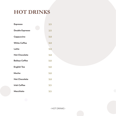## **HOT DRINKS**

| <b>Espresso</b>        | 2.5            |
|------------------------|----------------|
| <b>Double Espresso</b> | 2.5            |
| Cappuccino             | 3.0            |
| <b>White Coffee</b>    | 3.0            |
| Latte                  | 3.0            |
| <b>Hot Chocolate</b>   | 3.0            |
| <b>Baileys Coffee</b>  | 3.0            |
| <b>English Tea</b>     | 3.0            |
| Mocha                  | 3.0            |
| <b>Hot Chocolate</b>   | 3.0            |
| <b>Irish Coffee</b>    | 3.5            |
| Macchiato              | $\mathbf{3.5}$ |